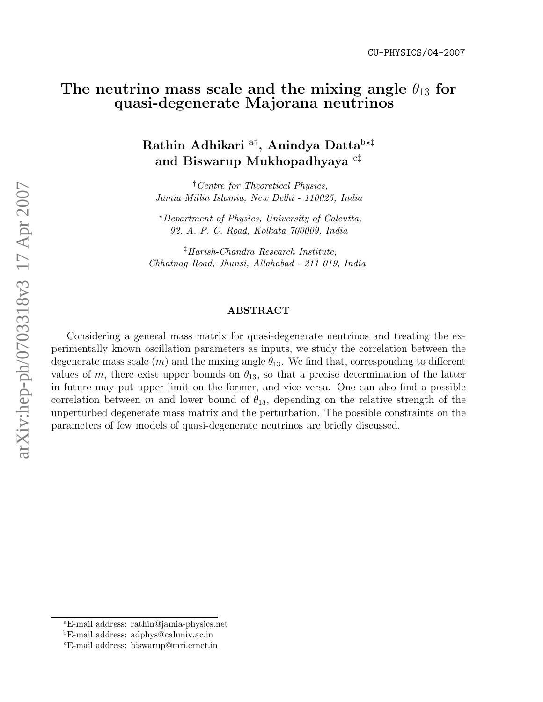## The neutrino mass scale and the mixing angle  $\theta_{13}$  for quasi-degenerate Majorana neutrinos

# Rathin Adhikari  $^{\mathrm{a}\dagger},$  Anindya Datta $^{\mathrm{b}\star\ddagger}$ and Biswarup Mukhopadhyaya  $^{\rm c\ddagger}$

†Centre for Theoretical Physics, Jamia Millia Islamia, New Delhi - 110025, India

<sup>⋆</sup>Department of Physics, University of Calcutta, 92, A. P. C. Road, Kolkata 700009, India

‡Harish-Chandra Research Institute, Chhatnag Road, Jhunsi, Allahabad - 211 019, India

#### ABSTRACT

Considering a general mass matrix for quasi-degenerate neutrinos and treating the experimentally known oscillation parameters as inputs, we study the correlation between the degenerate mass scale  $(m)$  and the mixing angle  $\theta_{13}$ . We find that, corresponding to different values of m, there exist upper bounds on  $\theta_{13}$ , so that a precise determination of the latter in future may put upper limit on the former, and vice versa. One can also find a possible correlation between m and lower bound of  $\theta_{13}$ , depending on the relative strength of the unperturbed degenerate mass matrix and the perturbation. The possible constraints on the parameters of few models of quasi-degenerate neutrinos are briefly discussed.

aE-mail address: rathin@jamia-physics.net<br>bE-mail address: adphys@caluniv.ac.in cE-mail address: biswarup@mri.ernet.in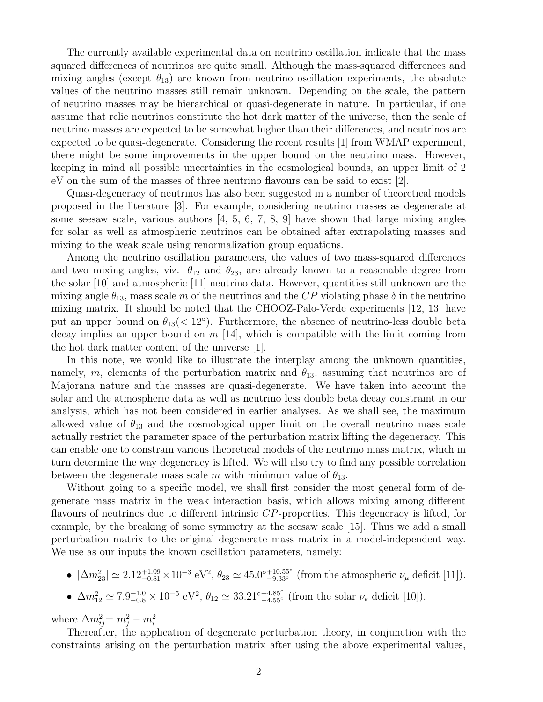The currently available experimental data on neutrino oscillation indicate that the mass squared differences of neutrinos are quite small. Although the mass-squared differences and mixing angles (except  $\theta_{13}$ ) are known from neutrino oscillation experiments, the absolute values of the neutrino masses still remain unknown. Depending on the scale, the pattern of neutrino masses may be hierarchical or quasi-degenerate in nature. In particular, if one assume that relic neutrinos constitute the hot dark matter of the universe, then the scale of neutrino masses are expected to be somewhat higher than their differences, and neutrinos are expected to be quasi-degenerate. Considering the recent results [1] from WMAP experiment, there might be some improvements in the upper bound on the neutrino mass. However, keeping in mind all possible uncertainties in the cosmological bounds, an upper limit of 2 eV on the sum of the masses of three neutrino flavours can be said to exist [2].

Quasi-degeneracy of neutrinos has also been suggested in a number of theoretical models proposed in the literature [3]. For example, considering neutrino masses as degenerate at some seesaw scale, various authors [4, 5, 6, 7, 8, 9] have shown that large mixing angles for solar as well as atmospheric neutrinos can be obtained after extrapolating masses and mixing to the weak scale using renormalization group equations.

Among the neutrino oscillation parameters, the values of two mass-squared differences and two mixing angles, viz.  $\theta_{12}$  and  $\theta_{23}$ , are already known to a reasonable degree from the solar [10] and atmospheric [11] neutrino data. However, quantities still unknown are the mixing angle  $\theta_{13}$ , mass scale m of the neutrinos and the CP violating phase  $\delta$  in the neutrino mixing matrix. It should be noted that the CHOOZ-Palo-Verde experiments [12, 13] have put an upper bound on  $\theta_{13}(< 12^{\circ})$ . Furthermore, the absence of neutrino-less double beta decay implies an upper bound on  $m$  [14], which is compatible with the limit coming from the hot dark matter content of the universe [1].

In this note, we would like to illustrate the interplay among the unknown quantities, namely, m, elements of the perturbation matrix and  $\theta_{13}$ , assuming that neutrinos are of Majorana nature and the masses are quasi-degenerate. We have taken into account the solar and the atmospheric data as well as neutrino less double beta decay constraint in our analysis, which has not been considered in earlier analyses. As we shall see, the maximum allowed value of  $\theta_{13}$  and the cosmological upper limit on the overall neutrino mass scale actually restrict the parameter space of the perturbation matrix lifting the degeneracy. This can enable one to constrain various theoretical models of the neutrino mass matrix, which in turn determine the way degeneracy is lifted. We will also try to find any possible correlation between the degenerate mass scale m with minimum value of  $\theta_{13}$ .

Without going to a specific model, we shall first consider the most general form of degenerate mass matrix in the weak interaction basis, which allows mixing among different flavours of neutrinos due to different intrinsic CP-properties. This degeneracy is lifted, for example, by the breaking of some symmetry at the seesaw scale [15]. Thus we add a small perturbation matrix to the original degenerate mass matrix in a model-independent way. We use as our inputs the known oscillation parameters, namely:

•  $|\Delta m_{23}^2| \simeq 2.12_{-0.81}^{+1.09} \times 10^{-3} \text{ eV}^2$ ,  $\theta_{23} \simeq 45.0_{-9.33}^{+10.55}$ ° (from the atmospheric  $\nu_\mu$  deficit [11]).

• 
$$
\Delta m_{12}^2 \simeq 7.9_{-0.8}^{+1.0} \times 10^{-5} \text{ eV}^2
$$
,  $\theta_{12} \simeq 33.21^{\circ}{}_{-4.55^{\circ}}^{+4.85^{\circ}}$  (from the solar  $\nu_e$  deficit [10]).

where  $\Delta m_{ij}^2 = m_j^2 - m_i^2$ .

Thereafter, the application of degenerate perturbation theory, in conjunction with the constraints arising on the perturbation matrix after using the above experimental values,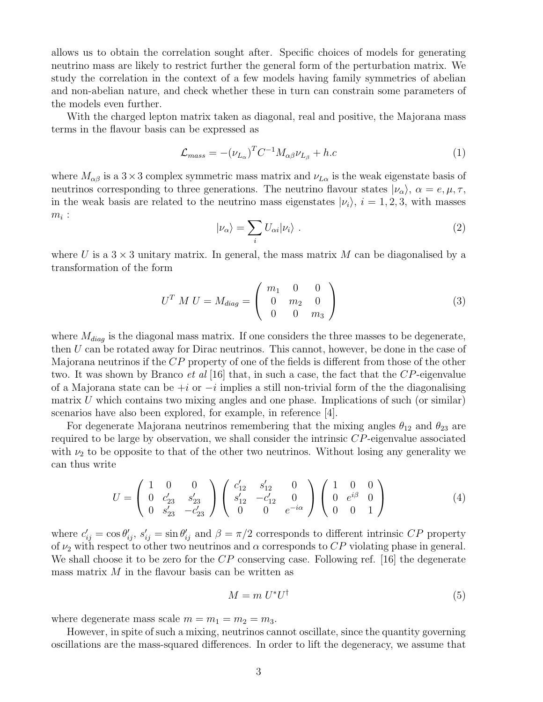allows us to obtain the correlation sought after. Specific choices of models for generating neutrino mass are likely to restrict further the general form of the perturbation matrix. We study the correlation in the context of a few models having family symmetries of abelian and non-abelian nature, and check whether these in turn can constrain some parameters of the models even further.

With the charged lepton matrix taken as diagonal, real and positive, the Majorana mass terms in the flavour basis can be expressed as

$$
\mathcal{L}_{mass} = -(\nu_{L_{\alpha}})^{T} C^{-1} M_{\alpha\beta} \nu_{L_{\beta}} + h.c
$$
\n(1)

where  $M_{\alpha\beta}$  is a 3 × 3 complex symmetric mass matrix and  $\nu_{L\alpha}$  is the weak eigenstate basis of neutrinos corresponding to three generations. The neutrino flavour states  $|\nu_{\alpha}\rangle$ ,  $\alpha = e, \mu, \tau$ , in the weak basis are related to the neutrino mass eigenstates  $|\nu_i\rangle$ ,  $i = 1, 2, 3$ , with masses  $m_i$ :

$$
|\nu_{\alpha}\rangle = \sum_{i} U_{\alpha i} |\nu_{i}\rangle . \tag{2}
$$

where U is a  $3 \times 3$  unitary matrix. In general, the mass matrix M can be diagonalised by a transformation of the form

$$
U^T M U = M_{diag} = \begin{pmatrix} m_1 & 0 & 0 \\ 0 & m_2 & 0 \\ 0 & 0 & m_3 \end{pmatrix}
$$
 (3)

where  $M_{diag}$  is the diagonal mass matrix. If one considers the three masses to be degenerate, then U can be rotated away for Dirac neutrinos. This cannot, however, be done in the case of Majorana neutrinos if the CP property of one of the fields is different from those of the other two. It was shown by Branco *et al* [16] that, in such a case, the fact that the  $CP$ -eigenvalue of a Majorana state can be  $+i$  or  $-i$  implies a still non-trivial form of the the diagonalising matrix  $U$  which contains two mixing angles and one phase. Implications of such (or similar) scenarios have also been explored, for example, in reference [4].

For degenerate Majorana neutrinos remembering that the mixing angles  $\theta_{12}$  and  $\theta_{23}$  are required to be large by observation, we shall consider the intrinsic CP-eigenvalue associated with  $\nu_2$  to be opposite to that of the other two neutrinos. Without losing any generality we can thus write

$$
U = \begin{pmatrix} 1 & 0 & 0 \\ 0 & c'_{23} & s'_{23} \\ 0 & s'_{23} & -c'_{23} \end{pmatrix} \begin{pmatrix} c'_{12} & s'_{12} & 0 \\ s'_{12} & -c'_{12} & 0 \\ 0 & 0 & e^{-i\alpha} \end{pmatrix} \begin{pmatrix} 1 & 0 & 0 \\ 0 & e^{i\beta} & 0 \\ 0 & 0 & 1 \end{pmatrix}
$$
(4)

where  $c'_{ij} = \cos \theta'_{ij}$ ,  $s'_{ij} = \sin \theta'_{ij}$  and  $\beta = \pi/2$  corresponds to different intrinsic CP property of  $\nu_2$  with respect to other two neutrinos and  $\alpha$  corresponds to CP violating phase in general. We shall choose it to be zero for the  $CP$  conserving case. Following ref. [16] the degenerate mass matrix  $M$  in the flavour basis can be written as

$$
M = m U^* U^\dagger \tag{5}
$$

where degenerate mass scale  $m = m_1 = m_2 = m_3$ .

However, in spite of such a mixing, neutrinos cannot oscillate, since the quantity governing oscillations are the mass-squared differences. In order to lift the degeneracy, we assume that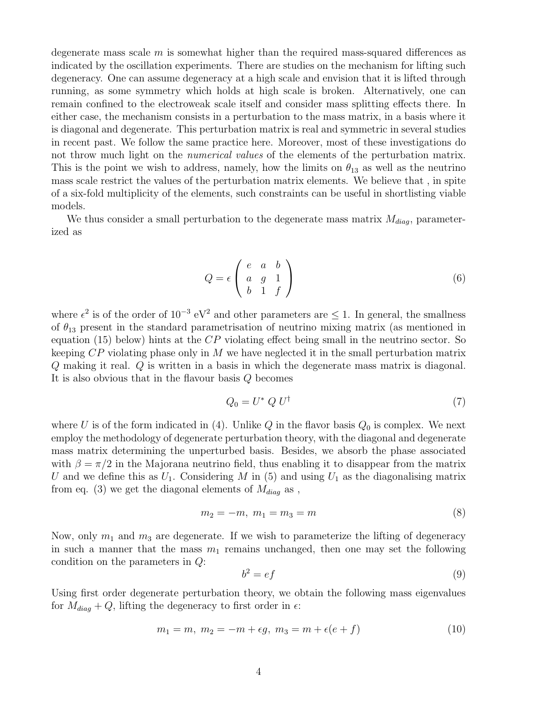degenerate mass scale  $m$  is somewhat higher than the required mass-squared differences as indicated by the oscillation experiments. There are studies on the mechanism for lifting such degeneracy. One can assume degeneracy at a high scale and envision that it is lifted through running, as some symmetry which holds at high scale is broken. Alternatively, one can remain confined to the electroweak scale itself and consider mass splitting effects there. In either case, the mechanism consists in a perturbation to the mass matrix, in a basis where it is diagonal and degenerate. This perturbation matrix is real and symmetric in several studies in recent past. We follow the same practice here. Moreover, most of these investigations do not throw much light on the *numerical values* of the elements of the perturbation matrix. This is the point we wish to address, namely, how the limits on  $\theta_{13}$  as well as the neutrino mass scale restrict the values of the perturbation matrix elements. We believe that , in spite of a six-fold multiplicity of the elements, such constraints can be useful in shortlisting viable models.

We thus consider a small perturbation to the degenerate mass matrix  $M_{diag}$ , parameterized as

$$
Q = \epsilon \begin{pmatrix} e & a & b \\ a & g & 1 \\ b & 1 & f \end{pmatrix}
$$
 (6)

where  $\epsilon^2$  is of the order of  $10^{-3}$  eV<sup>2</sup> and other parameters are  $\leq 1$ . In general, the smallness of  $\theta_{13}$  present in the standard parametrisation of neutrino mixing matrix (as mentioned in equation (15) below) hints at the  $CP$  violating effect being small in the neutrino sector. So keeping CP violating phase only in M we have neglected it in the small perturbation matrix Q making it real. Q is written in a basis in which the degenerate mass matrix is diagonal. It is also obvious that in the flavour basis Q becomes

$$
Q_0 = U^* Q U^{\dagger} \tag{7}
$$

where U is of the form indicated in (4). Unlike Q in the flavor basis  $Q_0$  is complex. We next employ the methodology of degenerate perturbation theory, with the diagonal and degenerate mass matrix determining the unperturbed basis. Besides, we absorb the phase associated with  $\beta = \pi/2$  in the Majorana neutrino field, thus enabling it to disappear from the matrix U and we define this as  $U_1$ . Considering M in (5) and using  $U_1$  as the diagonalising matrix from eq. (3) we get the diagonal elements of  $M_{diag}$  as,

$$
m_2 = -m, \ m_1 = m_3 = m \tag{8}
$$

Now, only  $m_1$  and  $m_3$  are degenerate. If we wish to parameterize the lifting of degeneracy in such a manner that the mass  $m_1$  remains unchanged, then one may set the following condition on the parameters in Q:

$$
b^2 = ef
$$
 (9)

Using first order degenerate perturbation theory, we obtain the following mass eigenvalues for  $M_{diag} + Q$ , lifting the degeneracy to first order in  $\epsilon$ :

$$
m_1 = m, \ m_2 = -m + \epsilon g, \ m_3 = m + \epsilon (e + f) \tag{10}
$$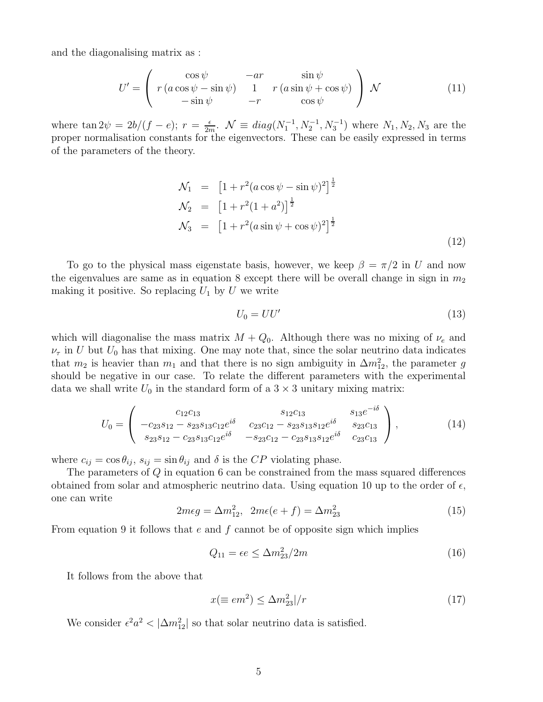and the diagonalising matrix as :

$$
U' = \begin{pmatrix} \cos \psi & -ar & \sin \psi \\ r(a \cos \psi - \sin \psi) & 1 & r(a \sin \psi + \cos \psi) \\ -\sin \psi & -r & \cos \psi \end{pmatrix} \mathcal{N}
$$
(11)

where  $\tan 2\psi = \frac{2b}{f - e}$ ;  $r = \frac{e}{2r}$  $\frac{\epsilon}{2m}$ .  $\mathcal{N} \equiv diag(N_1^{-1}, N_2^{-1}, N_3^{-1})$  where  $N_1, N_2, N_3$  are the proper normalisation constants for the eigenvectors. These can be easily expressed in terms of the parameters of the theory.

$$
\mathcal{N}_1 = \left[1 + r^2(a\cos\psi - \sin\psi)^2\right]^{\frac{1}{2}}
$$
  
\n
$$
\mathcal{N}_2 = \left[1 + r^2(1 + a^2)\right]^{\frac{1}{2}}
$$
  
\n
$$
\mathcal{N}_3 = \left[1 + r^2(a\sin\psi + \cos\psi)^2\right]^{\frac{1}{2}}
$$
\n(12)

To go to the physical mass eigenstate basis, however, we keep  $\beta = \pi/2$  in U and now the eigenvalues are same as in equation 8 except there will be overall change in sign in  $m_2$ making it positive. So replacing  $U_1$  by U we write

$$
U_0 = U U'
$$
\n<sup>(13)</sup>

which will diagonalise the mass matrix  $M + Q_0$ . Although there was no mixing of  $\nu_e$  and  $\nu_{\tau}$  in U but  $U_0$  has that mixing. One may note that, since the solar neutrino data indicates that  $m_2$  is heavier than  $m_1$  and that there is no sign ambiguity in  $\Delta m_{12}^2$ , the parameter g should be negative in our case. To relate the different parameters with the experimental data we shall write  $U_0$  in the standard form of a  $3 \times 3$  unitary mixing matrix:

$$
U_0 = \begin{pmatrix} c_{12}c_{13} & s_{12}c_{13} & s_{13}e^{-i\delta} \\ -c_{23}s_{12} - s_{23}s_{13}c_{12}e^{i\delta} & c_{23}c_{12} - s_{23}s_{13}s_{12}e^{i\delta} & s_{23}c_{13} \\ s_{23}s_{12} - c_{23}s_{13}c_{12}e^{i\delta} & -s_{23}c_{12} - c_{23}s_{13}s_{12}e^{i\delta} & c_{23}c_{13} \end{pmatrix},
$$
(14)

where  $c_{ij} = \cos \theta_{ij}$ ,  $s_{ij} = \sin \theta_{ij}$  and  $\delta$  is the CP violating phase.

The parameters of Q in equation 6 can be constrained from the mass squared differences obtained from solar and atmospheric neutrino data. Using equation 10 up to the order of  $\epsilon$ , one can write

$$
2m\epsilon g = \Delta m_{12}^2, \ \ 2m\epsilon(e+f) = \Delta m_{23}^2 \tag{15}
$$

From equation 9 it follows that  $e$  and  $f$  cannot be of opposite sign which implies

$$
Q_{11} = \epsilon e \le \Delta m_{23}^2 / 2m \tag{16}
$$

It follows from the above that

$$
x(\equiv em^2) \le \Delta m_{23}^2|/r \tag{17}
$$

We consider  $\epsilon^2 a^2 < |\Delta m_{12}^2|$  so that solar neutrino data is satisfied.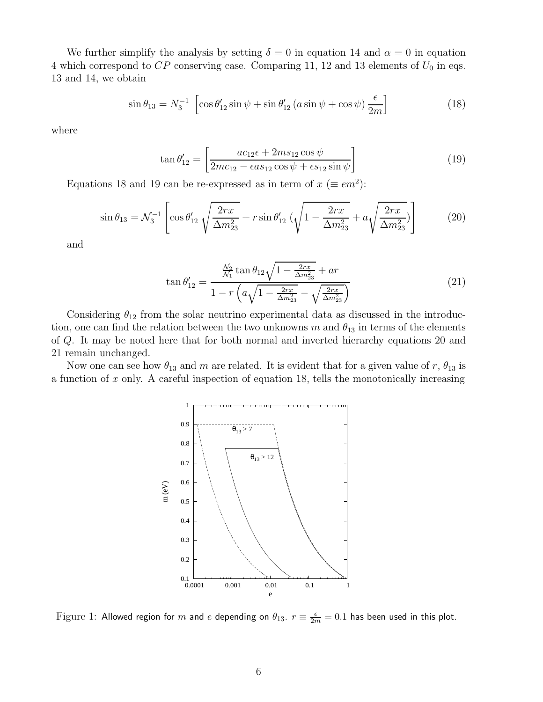We further simplify the analysis by setting  $\delta = 0$  in equation 14 and  $\alpha = 0$  in equation 4 which correspond to  $CP$  conserving case. Comparing 11, 12 and 13 elements of  $U_0$  in eqs. 13 and 14, we obtain

$$
\sin \theta_{13} = N_3^{-1} \left[ \cos \theta_{12}' \sin \psi + \sin \theta_{12}' (a \sin \psi + \cos \psi) \frac{\epsilon}{2m} \right]
$$
 (18)

where

$$
\tan \theta_{12}' = \left[ \frac{ac_{12}\epsilon + 2ms_{12}\cos\psi}{2mc_{12} - \epsilon as_{12}\cos\psi + \epsilon s_{12}\sin\psi} \right]
$$
(19)

Equations 18 and 19 can be re-expressed as in term of  $x \ (\equiv em^2)$ :

$$
\sin \theta_{13} = \mathcal{N}_3^{-1} \left[ \cos \theta_{12}' \sqrt{\frac{2rx}{\Delta m_{23}^2}} + r \sin \theta_{12}' \left( \sqrt{1 - \frac{2rx}{\Delta m_{23}^2}} + a \sqrt{\frac{2rx}{\Delta m_{23}^2}} \right) \right]
$$
(20)

and

$$
\tan \theta'_{12} = \frac{\frac{N_2}{N_1} \tan \theta_{12} \sqrt{1 - \frac{2rx}{\Delta m_{23}^2}} + ar}{1 - r \left( a \sqrt{1 - \frac{2rx}{\Delta m_{23}^2}} - \sqrt{\frac{2rx}{\Delta m_{23}^2}} \right)} \tag{21}
$$

Considering  $\theta_{12}$  from the solar neutrino experimental data as discussed in the introduction, one can find the relation between the two unknowns m and  $\theta_{13}$  in terms of the elements of Q. It may be noted here that for both normal and inverted hierarchy equations 20 and 21 remain unchanged.

Now one can see how  $\theta_{13}$  and m are related. It is evident that for a given value of r,  $\theta_{13}$  is a function of  $x$  only. A careful inspection of equation 18, tells the monotonically increasing



Figure 1: Allowed region for  $m$  and  $e$  depending on  $\theta_{13}$ .  $r\equiv\frac{\epsilon}{2m}=0.1$  has been used in this plot.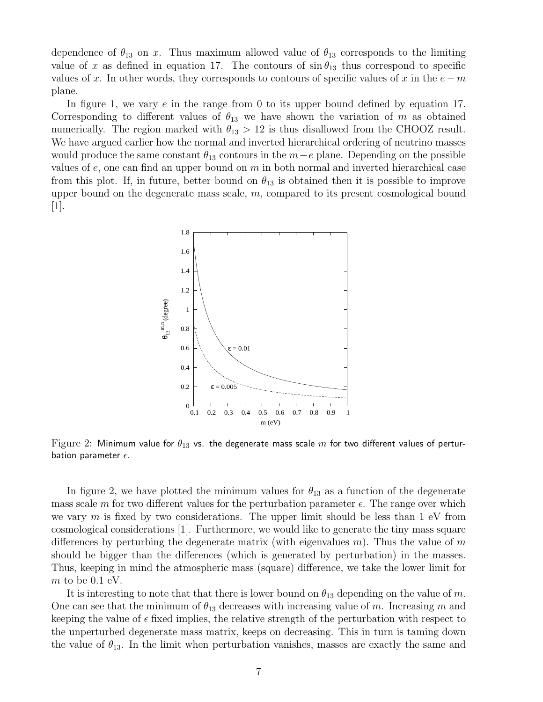dependence of  $\theta_{13}$  on x. Thus maximum allowed value of  $\theta_{13}$  corresponds to the limiting value of x as defined in equation 17. The contours of  $\sin \theta_{13}$  thus correspond to specific values of x. In other words, they corresponds to contours of specific values of x in the  $e - m$ plane.

In figure 1, we vary e in the range from 0 to its upper bound defined by equation 17. Corresponding to different values of  $\theta_{13}$  we have shown the variation of m as obtained numerically. The region marked with  $\theta_{13} > 12$  is thus disallowed from the CHOOZ result. We have argued earlier how the normal and inverted hierarchical ordering of neutrino masses would produce the same constant  $\theta_{13}$  contours in the  $m-e$  plane. Depending on the possible values of  $e$ , one can find an upper bound on  $m$  in both normal and inverted hierarchical case from this plot. If, in future, better bound on  $\theta_{13}$  is obtained then it is possible to improve upper bound on the degenerate mass scale,  $m$ , compared to its present cosmological bound [1].



Figure 2: Minimum value for  $\theta_{13}$  vs. the degenerate mass scale m for two different values of perturbation parameter  $\epsilon$ .

In figure 2, we have plotted the minimum values for  $\theta_{13}$  as a function of the degenerate mass scale m for two different values for the perturbation parameter  $\epsilon$ . The range over which we vary  $m$  is fixed by two considerations. The upper limit should be less than 1 eV from cosmological considerations [1]. Furthermore, we would like to generate the tiny mass square differences by perturbing the degenerate matrix (with eigenvalues  $m$ ). Thus the value of m should be bigger than the differences (which is generated by perturbation) in the masses. Thus, keeping in mind the atmospheric mass (square) difference, we take the lower limit for  $m$  to be 0.1 eV.

It is interesting to note that that there is lower bound on  $\theta_{13}$  depending on the value of m. One can see that the minimum of  $\theta_{13}$  decreases with increasing value of m. Increasing m and keeping the value of  $\epsilon$  fixed implies, the relative strength of the perturbation with respect to the unperturbed degenerate mass matrix, keeps on decreasing. This in turn is taming down the value of  $\theta_{13}$ . In the limit when perturbation vanishes, masses are exactly the same and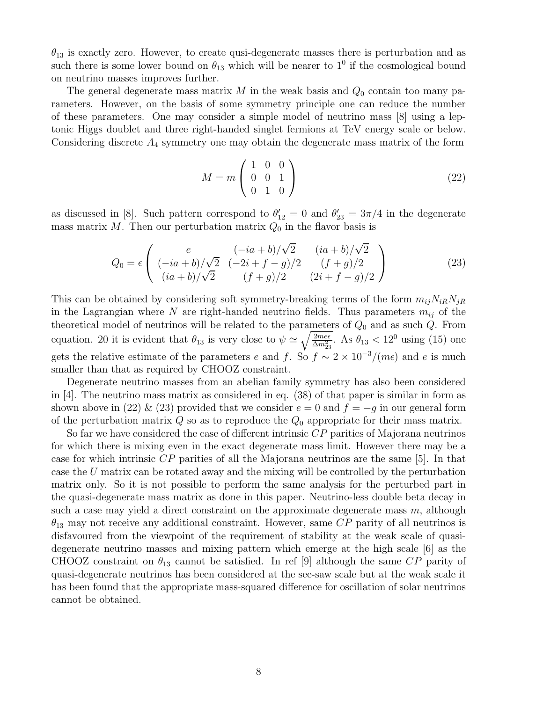$\theta_{13}$  is exactly zero. However, to create qusi-degenerate masses there is perturbation and as such there is some lower bound on  $\theta_{13}$  which will be nearer to  $1^0$  if the cosmological bound on neutrino masses improves further.

The general degenerate mass matrix M in the weak basis and  $Q_0$  contain too many parameters. However, on the basis of some symmetry principle one can reduce the number of these parameters. One may consider a simple model of neutrino mass [8] using a leptonic Higgs doublet and three right-handed singlet fermions at TeV energy scale or below. Considering discrete  $A_4$  symmetry one may obtain the degenerate mass matrix of the form

$$
M = m \begin{pmatrix} 1 & 0 & 0 \\ 0 & 0 & 1 \\ 0 & 1 & 0 \end{pmatrix}
$$
 (22)

as discussed in [8]. Such pattern correspond to  $\theta'_{12} = 0$  and  $\theta'_{23} = 3\pi/4$  in the degenerate mass matrix M. Then our perturbation matrix  $Q_0$  in the flavor basis is

$$
Q_0 = \epsilon \begin{pmatrix} e & (-ia+b)/\sqrt{2} & (ia+b)/\sqrt{2} \\ (-ia+b)/\sqrt{2} & (-2i+f-g)/2 & (f+g)/2 \\ (ia+b)/\sqrt{2} & (f+g)/2 & (2i+f-g)/2 \end{pmatrix}
$$
(23)

This can be obtained by considering soft symmetry-breaking terms of the form  $m_{ij}N_{iR}N_{jR}$ in the Lagrangian where N are right-handed neutrino fields. Thus parameters  $m_{ij}$  of the theoretical model of neutrinos will be related to the parameters of  $Q_0$  and as such  $Q$ . From equation. 20 it is evident that  $\theta_{13}$  is very close to  $\psi \simeq \sqrt{\frac{2me\epsilon}{\Delta m_{23}^2}}$ . As  $\theta_{13} < 12^0$  using (15) one gets the relative estimate of the parameters e and f. So  $f \sim 2 \times 10^{-3}/(m\epsilon)$  and e is much smaller than that as required by CHOOZ constraint.

Degenerate neutrino masses from an abelian family symmetry has also been considered in [4]. The neutrino mass matrix as considered in eq. (38) of that paper is similar in form as shown above in (22) & (23) provided that we consider  $e = 0$  and  $f = -g$  in our general form of the perturbation matrix  $Q$  so as to reproduce the  $Q_0$  appropriate for their mass matrix.

So far we have considered the case of different intrinsic CP parities of Majorana neutrinos for which there is mixing even in the exact degenerate mass limit. However there may be a case for which intrinsic CP parities of all the Majorana neutrinos are the same [5]. In that case the U matrix can be rotated away and the mixing will be controlled by the perturbation matrix only. So it is not possible to perform the same analysis for the perturbed part in the quasi-degenerate mass matrix as done in this paper. Neutrino-less double beta decay in such a case may yield a direct constraint on the approximate degenerate mass  $m$ , although  $\theta_{13}$  may not receive any additional constraint. However, same CP parity of all neutrinos is disfavoured from the viewpoint of the requirement of stability at the weak scale of quasidegenerate neutrino masses and mixing pattern which emerge at the high scale [6] as the CHOOZ constraint on  $\theta_{13}$  cannot be satisfied. In ref [9] although the same CP parity of quasi-degenerate neutrinos has been considered at the see-saw scale but at the weak scale it has been found that the appropriate mass-squared difference for oscillation of solar neutrinos cannot be obtained.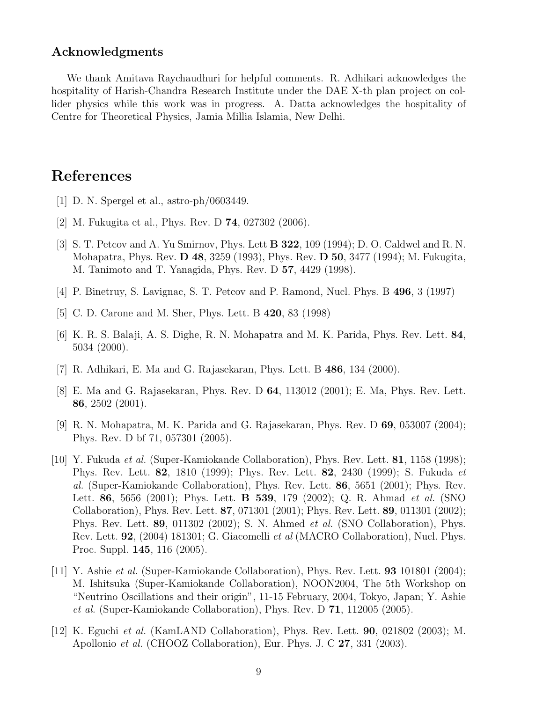### Acknowledgments

We thank Amitava Raychaudhuri for helpful comments. R. Adhikari acknowledges the hospitality of Harish-Chandra Research Institute under the DAE X-th plan project on collider physics while this work was in progress. A. Datta acknowledges the hospitality of Centre for Theoretical Physics, Jamia Millia Islamia, New Delhi.

## References

- [1] D. N. Spergel et al., astro-ph/0603449.
- [2] M. Fukugita et al., Phys. Rev. D 74, 027302 (2006).
- [3] S. T. Petcov and A. Yu Smirnov, Phys. Lett B 322, 109 (1994); D. O. Caldwel and R. N. Mohapatra, Phys. Rev. D 48, 3259 (1993), Phys. Rev. D 50, 3477 (1994); M. Fukugita, M. Tanimoto and T. Yanagida, Phys. Rev. D 57, 4429 (1998).
- [4] P. Binetruy, S. Lavignac, S. T. Petcov and P. Ramond, Nucl. Phys. B 496, 3 (1997)
- [5] C. D. Carone and M. Sher, Phys. Lett. B 420, 83 (1998)
- [6] K. R. S. Balaji, A. S. Dighe, R. N. Mohapatra and M. K. Parida, Phys. Rev. Lett. 84, 5034 (2000).
- [7] R. Adhikari, E. Ma and G. Rajasekaran, Phys. Lett. B 486, 134 (2000).
- [8] E. Ma and G. Rajasekaran, Phys. Rev. D 64, 113012 (2001); E. Ma, Phys. Rev. Lett. 86, 2502 (2001).
- [9] R. N. Mohapatra, M. K. Parida and G. Rajasekaran, Phys. Rev. D 69, 053007 (2004); Phys. Rev. D bf 71, 057301 (2005).
- [10] Y. Fukuda et al. (Super-Kamiokande Collaboration), Phys. Rev. Lett. 81, 1158 (1998); Phys. Rev. Lett. 82, 1810 (1999); Phys. Rev. Lett. 82, 2430 (1999); S. Fukuda et al. (Super-Kamiokande Collaboration), Phys. Rev. Lett. 86, 5651 (2001); Phys. Rev. Lett. 86, 5656 (2001); Phys. Lett. **B 539**, 179 (2002); Q. R. Ahmad *et al.* (SNO Collaboration), Phys. Rev. Lett. 87, 071301 (2001); Phys. Rev. Lett. 89, 011301 (2002); Phys. Rev. Lett. 89, 011302 (2002); S. N. Ahmed et al. (SNO Collaboration), Phys. Rev. Lett. 92, (2004) 181301; G. Giacomelli et al (MACRO Collaboration), Nucl. Phys. Proc. Suppl. 145, 116 (2005).
- [11] Y. Ashie et al. (Super-Kamiokande Collaboration), Phys. Rev. Lett. 93 101801 (2004); M. Ishitsuka (Super-Kamiokande Collaboration), NOON2004, The 5th Workshop on "Neutrino Oscillations and their origin", 11-15 February, 2004, Tokyo, Japan; Y. Ashie et al. (Super-Kamiokande Collaboration), Phys. Rev. D 71, 112005 (2005).
- [12] K. Eguchi *et al.* (KamLAND Collaboration), Phys. Rev. Lett. **90**, 021802 (2003); M. Apollonio et al. (CHOOZ Collaboration), Eur. Phys. J. C 27, 331 (2003).